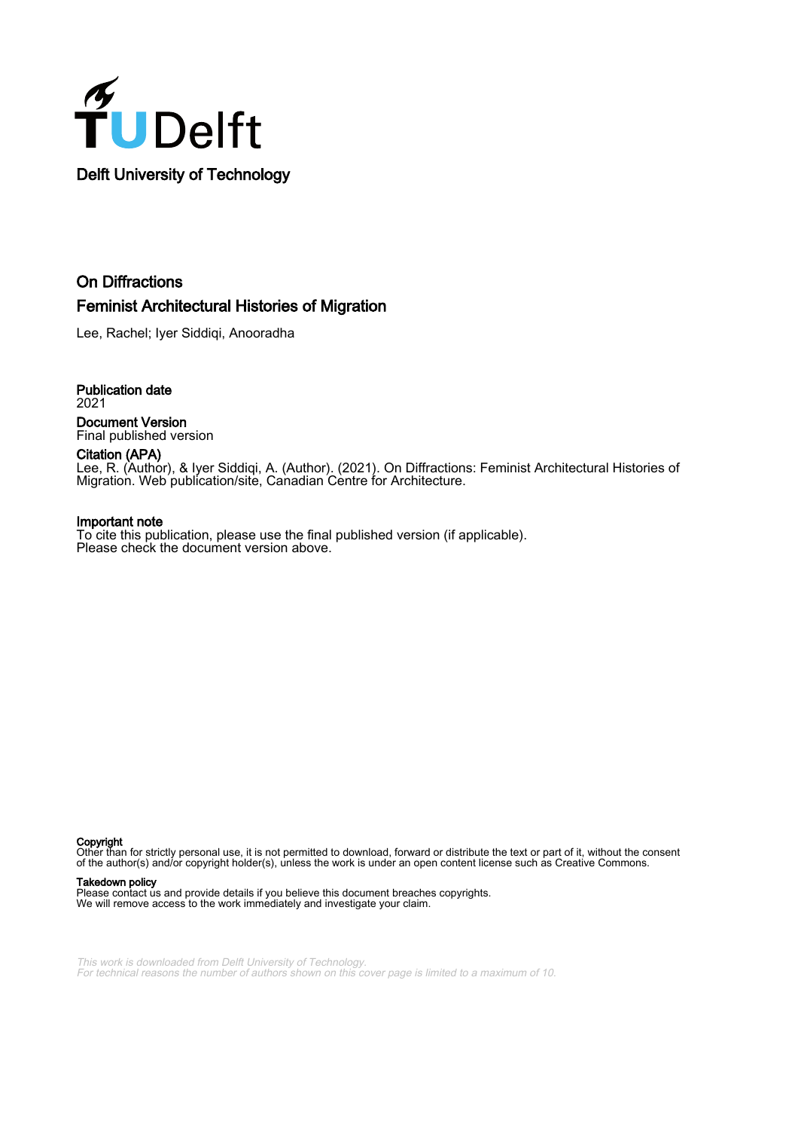

### On Diffractions Feminist Architectural Histories of Migration

Lee, Rachel; Iyer Siddiqi, Anooradha

Publication date 2021 Document Version Final published version

Citation (APA) Lee, R. (Author), & Iyer Siddiqi, A. (Author). (2021). On Diffractions: Feminist Architectural Histories of Migration. Web publication/site, Canadian Centre for Architecture.

#### Important note

To cite this publication, please use the final published version (if applicable). Please check the document version above.

Copyright

Other than for strictly personal use, it is not permitted to download, forward or distribute the text or part of it, without the consent of the author(s) and/or copyright holder(s), unless the work is under an open content license such as Creative Commons.

#### Takedown policy

Please contact us and provide details if you believe this document breaches copyrights. We will remove access to the work immediately and investigate your claim.

This work is downloaded from Delft University of Technology. For technical reasons the number of authors shown on this cover page is limited to a maximum of 10.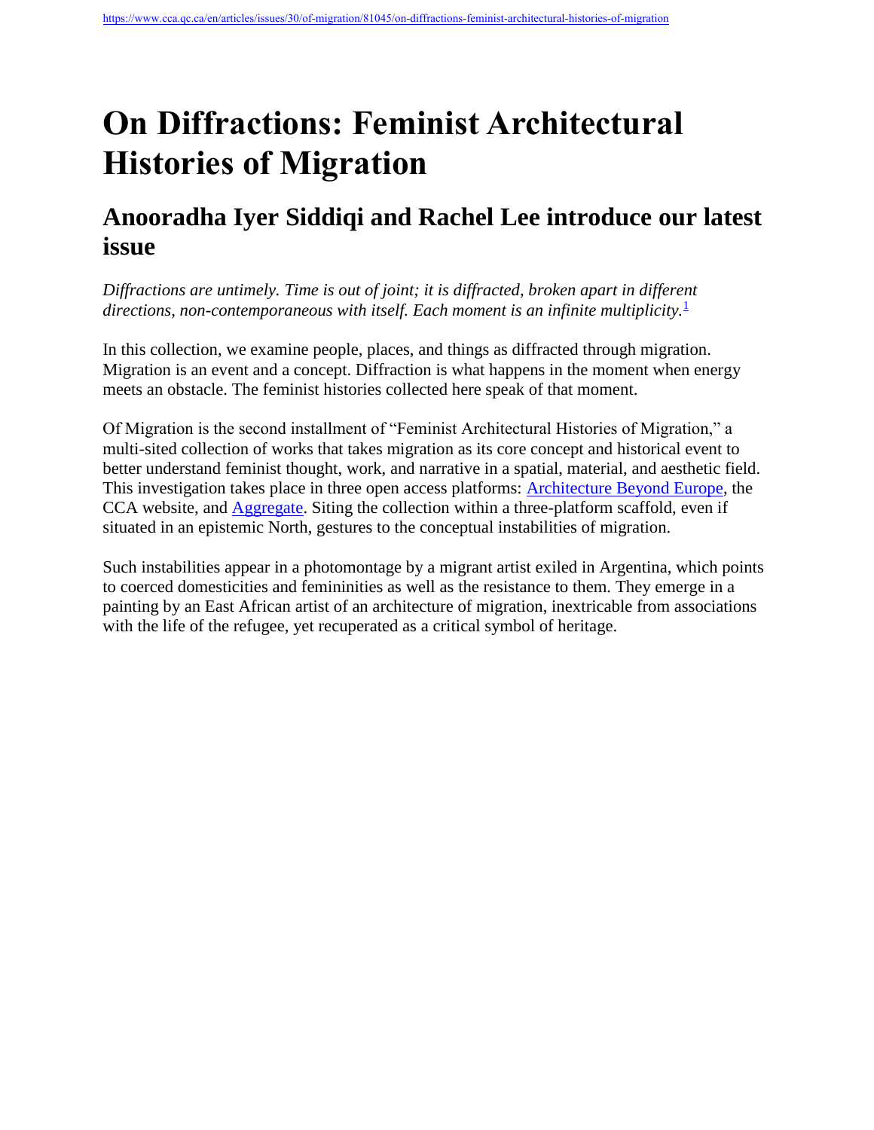# **On Diffractions: Feminist Architectural Histories of Migration**

## **Anooradha Iyer Siddiqi and Rachel Lee introduce our latest issue**

*Diffractions are untimely. Time is out of joint; it is diffracted, broken apart in different*  directions, non-contemporaneous with itself. Each moment is an infinite multiplicity.<sup>[1](https://www.cca.qc.ca/en/articles/issues/30/of-migration/81045/on-diffractions-feminist-architectural-histories-of-migration#fn-1-81045)</sup>

In this collection, we examine people, places, and things as diffracted through migration. Migration is an event and a concept. Diffraction is what happens in the moment when energy meets an obstacle. The feminist histories collected here speak of that moment.

Of Migration is the second installment of "Feminist Architectural Histories of Migration," a multi-sited collection of works that takes migration as its core concept and historical event to better understand feminist thought, work, and narrative in a spatial, material, and aesthetic field. This investigation takes place in three open access platforms: [Architecture Beyond Europe,](https://journals.openedition.org/abe/7126?lang=en) the CCA website, and [Aggregate.](http://we-aggregate.org/project/on-collaborations-feminist-architectural-histories-of-migration) Siting the collection within a three-platform scaffold, even if situated in an epistemic North, gestures to the conceptual instabilities of migration.

Such instabilities appear in a photomontage by a migrant artist exiled in Argentina, which points to coerced domesticities and femininities as well as the resistance to them. They emerge in a painting by an East African artist of an architecture of migration, inextricable from associations with the life of the refugee, yet recuperated as a critical symbol of heritage.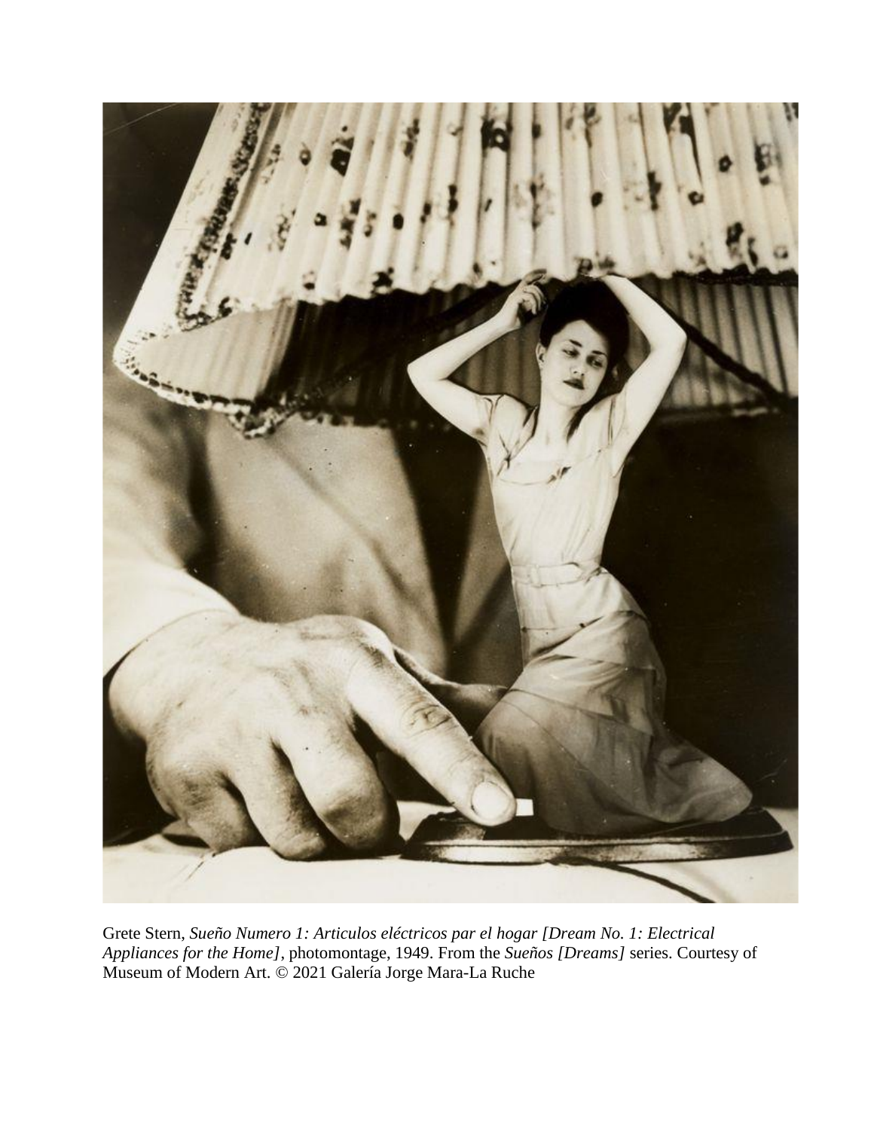

Grete Stern, *Sueño Numero 1: Articulos eléctricos par el hogar [Dream No. 1: Electrical Appliances for the Home]*, photomontage, 1949. From the *Sueños [Dreams]* series. Courtesy of Museum of Modern Art. © 2021 Galería Jorge Mara-La Ruche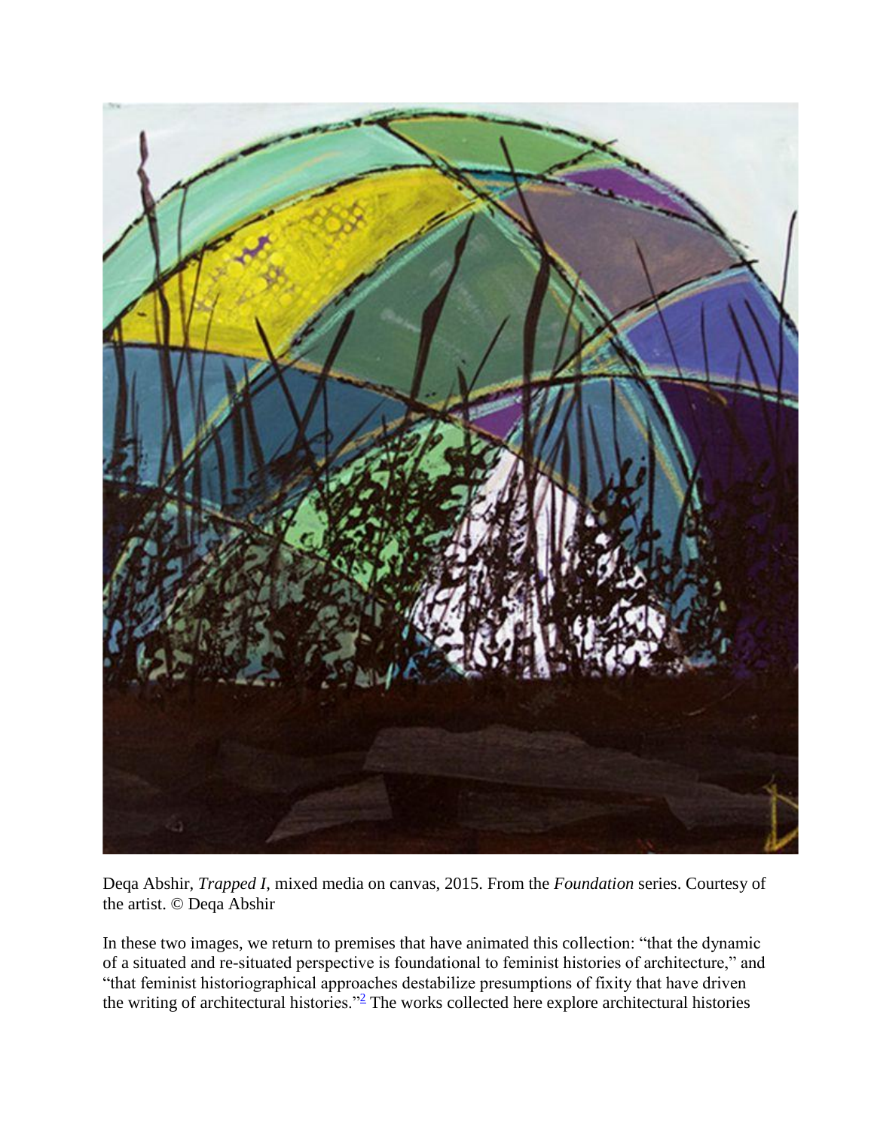

Deqa Abshir, *Trapped I*, mixed media on canvas, 2015. From the *Foundation* series. Courtesy of the artist. © Deqa Abshir

In these two images, we return to premises that have animated this collection: "that the dynamic of a situated and re-situated perspective is foundational to feminist histories of architecture," and "that feminist historiographical approaches destabilize presumptions of fixity that have driven the writing of architectural histories." $\frac{2}{7}$  $\frac{2}{7}$  $\frac{2}{7}$  The works collected here explore architectural histories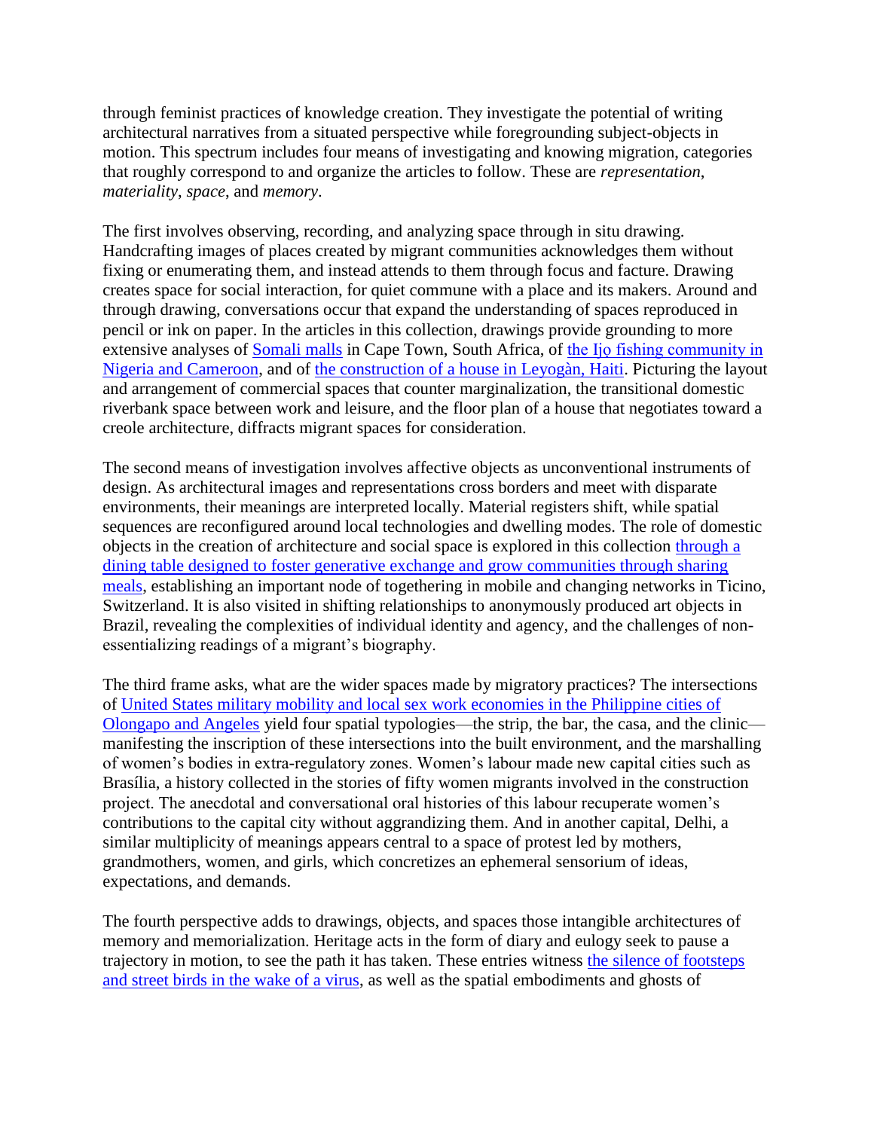through feminist practices of knowledge creation. They investigate the potential of writing architectural narratives from a situated perspective while foregrounding subject-objects in motion. This spectrum includes four means of investigating and knowing migration, categories that roughly correspond to and organize the articles to follow. These are *representation*, *materiality*, *space*, and *memory*.

The first involves observing, recording, and analyzing space through in situ drawing. Handcrafting images of places created by migrant communities acknowledges them without fixing or enumerating them, and instead attends to them through focus and facture. Drawing creates space for social interaction, for quiet commune with a place and its makers. Around and through drawing, conversations occur that expand the understanding of spaces reproduced in pencil or ink on paper. In the articles in this collection, drawings provide grounding to more extensive analyses of [Somali malls](https://www.cca.qc.ca/en/articles/issues/30/of-migration/81159/architectures-of-care) in Cape Town, South Africa, of [the Ijọ fishing community in](https://www.cca.qc.ca/en/articles/issues/30/of-migration/81701/bathing-on-the-canoe-jetty)  [Nigeria and Cameroon,](https://www.cca.qc.ca/en/articles/issues/30/of-migration/81701/bathing-on-the-canoe-jetty) and of [the construction of a house in Leyogàn, Haiti.](https://www.cca.qc.ca/en/articles/issues/30/of-migration/81287/tracing-a-plan-in-kreyol) Picturing the layout and arrangement of commercial spaces that counter marginalization, the transitional domestic riverbank space between work and leisure, and the floor plan of a house that negotiates toward a creole architecture, diffracts migrant spaces for consideration.

The second means of investigation involves affective objects as unconventional instruments of design. As architectural images and representations cross borders and meet with disparate environments, their meanings are interpreted locally. Material registers shift, while spatial sequences are reconfigured around local technologies and dwelling modes. The role of domestic objects in the creation of architecture and social space is explored in this collection through a [dining table designed to foster generative exchange and grow communities through sharing](https://www.cca.qc.ca/en/articles/issues/30/of-migration/82042/convivium-flora-ruchat-roncatis-practice)  [meals,](https://www.cca.qc.ca/en/articles/issues/30/of-migration/82042/convivium-flora-ruchat-roncatis-practice) establishing an important node of togethering in mobile and changing networks in Ticino, Switzerland. It is also visited in shifting relationships to anonymously produced art objects in Brazil, revealing the complexities of individual identity and agency, and the challenges of nonessentializing readings of a migrant's biography.

The third frame asks, what are the wider spaces made by migratory practices? The intersections of [United States military mobility and local sex work economies in the Philippine cities of](https://www.cca.qc.ca/en/articles/issues/30/of-migration/81436/foreign-arms-and-the-economic-body)  [Olongapo and Angeles](https://www.cca.qc.ca/en/articles/issues/30/of-migration/81436/foreign-arms-and-the-economic-body) yield four spatial typologies—the strip, the bar, the casa, and the clinic manifesting the inscription of these intersections into the built environment, and the marshalling of women's bodies in extra-regulatory zones. Women's labour made new capital cities such as Brasília, a history collected in the stories of fifty women migrants involved in the construction project. The anecdotal and conversational oral histories of this labour recuperate women's contributions to the capital city without aggrandizing them. And in another capital, Delhi, a similar multiplicity of meanings appears central to a space of protest led by mothers, grandmothers, women, and girls, which concretizes an ephemeral sensorium of ideas, expectations, and demands.

The fourth perspective adds to drawings, objects, and spaces those intangible architectures of memory and memorialization. Heritage acts in the form of diary and eulogy seek to pause a trajectory in motion, to see the path it has taken. These entries witness [the silence of footsteps](https://www.cca.qc.ca/en/articles/issues/30/of-migration/81820/corona-diaries)  [and street birds in the wake of a virus,](https://www.cca.qc.ca/en/articles/issues/30/of-migration/81820/corona-diaries) as well as the spatial embodiments and ghosts of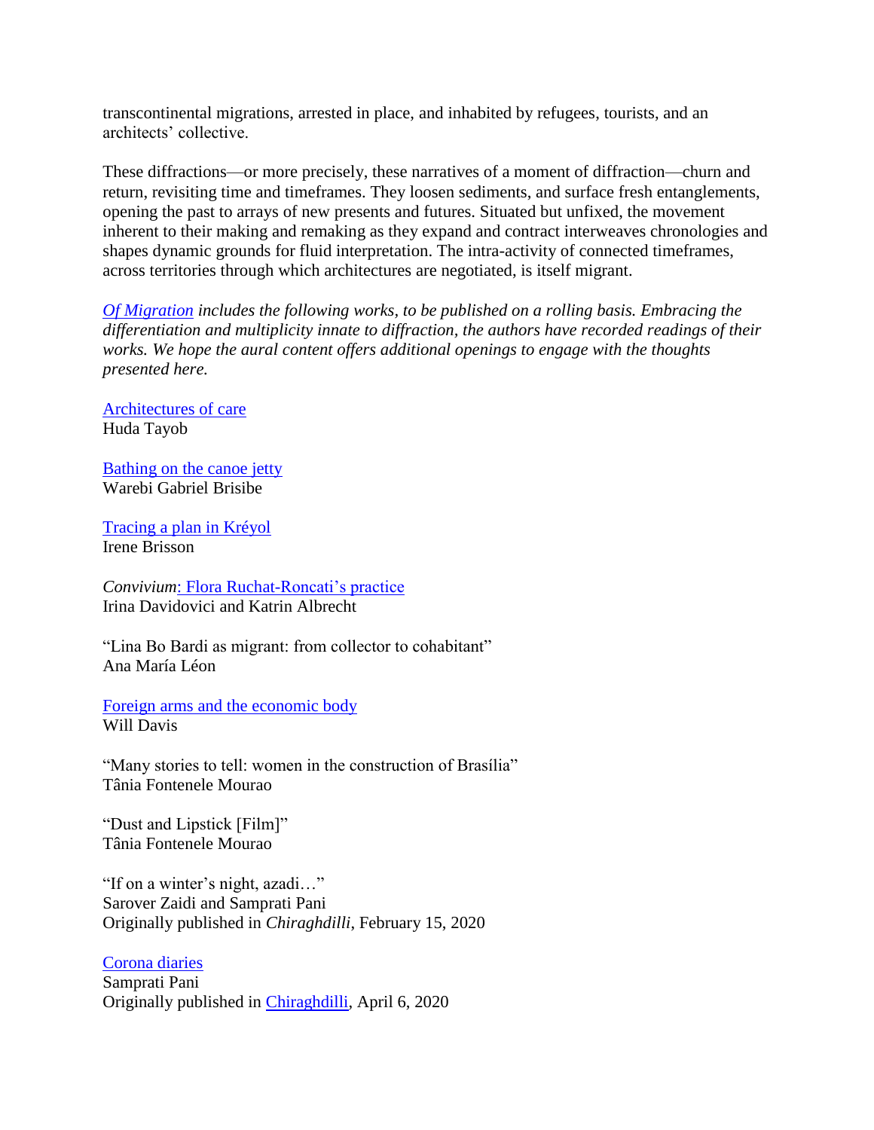transcontinental migrations, arrested in place, and inhabited by refugees, tourists, and an architects' collective.

These diffractions—or more precisely, these narratives of a moment of diffraction—churn and return, revisiting time and timeframes. They loosen sediments, and surface fresh entanglements, opening the past to arrays of new presents and futures. Situated but unfixed, the movement inherent to their making and remaking as they expand and contract interweaves chronologies and shapes dynamic grounds for fluid interpretation. The intra-activity of connected timeframes, across territories through which architectures are negotiated, is itself migrant.

*[Of Migration](https://www.cca.qc.ca/en/articles/issues/30/of-migration) includes the following works, to be published on a rolling basis. Embracing the differentiation and multiplicity innate to diffraction, the authors have recorded readings of their works. We hope the aural content offers additional openings to engage with the thoughts presented here.*

[Architectures of care](https://www.cca.qc.ca/en/articles/issues/30/of-migration/81159/architectures-of-care) Huda Tayob

[Bathing on the canoe jetty](https://www.cca.qc.ca/en/articles/issues/30/of-migration/81701/bathing-on-the-canoe-jetty) Warebi Gabriel Brisibe

[Tracing a plan in Kréyol](https://www.cca.qc.ca/en/articles/issues/30/of-migration/81287/tracing-a-plan-in-kreyol) Irene Brisson

*Convivium*[: Flora Ruchat-Roncati's practice](https://www.cca.qc.ca/en/articles/issues/30/of-migration/82042/convivium-flora-ruchat-roncatis-practice) Irina Davidovici and Katrin Albrecht

"Lina Bo Bardi as migrant: from collector to cohabitant" Ana María Léon

[Foreign arms and the economic body](https://www.cca.qc.ca/en/articles/issues/30/of-migration/81436/foreign-arms-and-the-economic-body) Will Davis

"Many stories to tell: women in the construction of Brasília" Tânia Fontenele Mourao

"Dust and Lipstick [Film]" Tânia Fontenele Mourao

"If on a winter's night, azadi…" Sarover Zaidi and Samprati Pani Originally published in *Chiraghdilli*, February 15, 2020

[Corona diaries](https://www.cca.qc.ca/en/articles/issues/30/of-migration/81820/corona-diaries) Samprati Pani Originally published in [Chiraghdilli,](https://chiraghdilli.com/2020/04/06/corona-diaries/) April 6, 2020